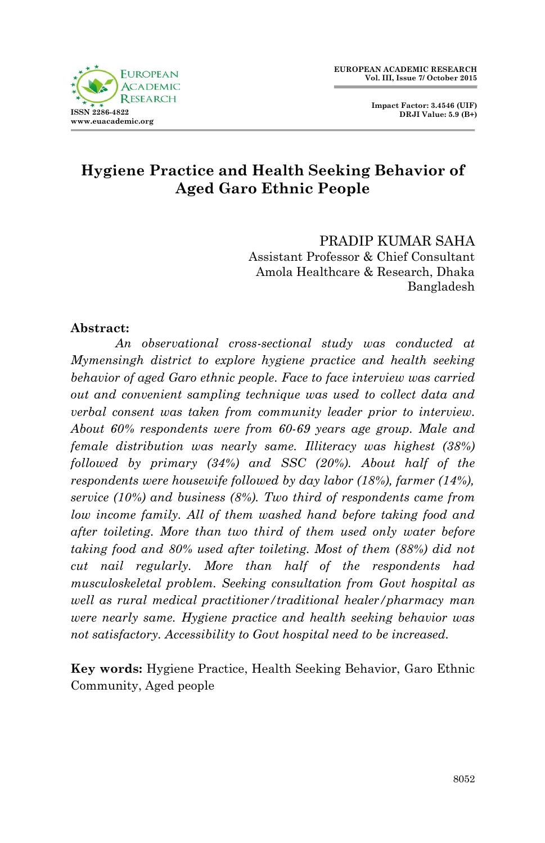



# **Hygiene Practice and Health Seeking Behavior of Aged Garo Ethnic People**

PRADIP KUMAR SAHA Assistant Professor & Chief Consultant Amola Healthcare & Research, Dhaka Bangladesh

### **Abstract:**

*An observational cross-sectional study was conducted at Mymensingh district to explore hygiene practice and health seeking behavior of aged Garo ethnic people. Face to face interview was carried out and convenient sampling technique was used to collect data and verbal consent was taken from community leader prior to interview. About 60% respondents were from 60-69 years age group. Male and female distribution was nearly same. Illiteracy was highest (38%) followed by primary (34%) and SSC (20%). About half of the respondents were housewife followed by day labor (18%), farmer (14%), service (10%) and business (8%). Two third of respondents came from low income family. All of them washed hand before taking food and after toileting. More than two third of them used only water before taking food and 80% used after toileting. Most of them (88%) did not cut nail regularly. More than half of the respondents had musculoskeletal problem. Seeking consultation from Govt hospital as well as rural medical practitioner/traditional healer/pharmacy man were nearly same. Hygiene practice and health seeking behavior was not satisfactory. Accessibility to Govt hospital need to be increased.*

**Key words:** Hygiene Practice, Health Seeking Behavior, Garo Ethnic Community, Aged people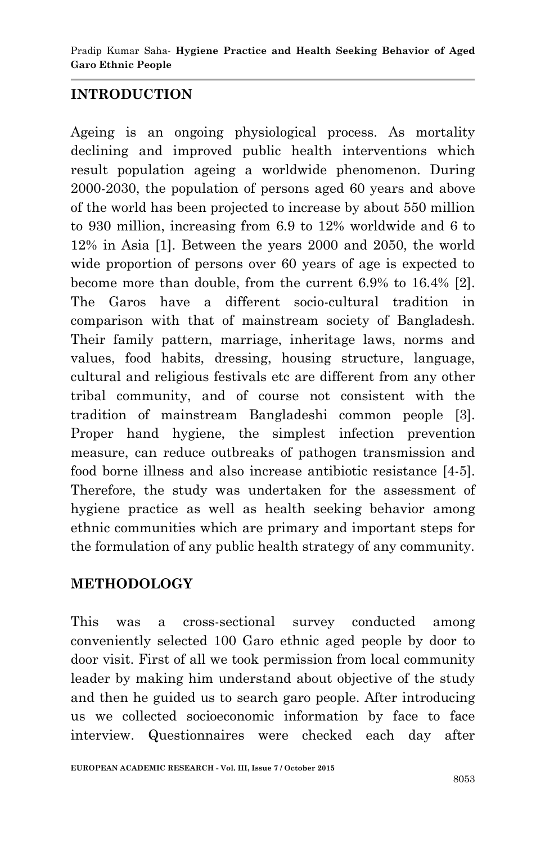## **INTRODUCTION**

Ageing is an ongoing physiological process. As mortality declining and improved public health interventions which result population ageing a worldwide phenomenon. During 2000-2030, the population of persons aged 60 years and above of the world has been projected to increase by about 550 million to 930 million, increasing from 6.9 to 12% worldwide and 6 to 12% in Asia [1]. Between the years 2000 and 2050, the world wide proportion of persons over 60 years of age is expected to become more than double, from the current 6.9% to 16.4% [2]. The Garos have a different socio-cultural tradition in comparison with that of mainstream society of Bangladesh. Their family pattern, marriage, inheritage laws, norms and values, food habits, dressing, housing structure, language, cultural and religious festivals etc are different from any other tribal community, and of course not consistent with the tradition of mainstream Bangladeshi common people [3]. Proper hand hygiene, the simplest infection prevention measure, can reduce outbreaks of pathogen transmission and food borne illness and also increase antibiotic resistance [4-5]. Therefore, the study was undertaken for the assessment of hygiene practice as well as health seeking behavior among ethnic communities which are primary and important steps for the formulation of any public health strategy of any community.

### **METHODOLOGY**

This was a cross-sectional survey conducted among conveniently selected 100 Garo ethnic aged people by door to door visit. First of all we took permission from local community leader by making him understand about objective of the study and then he guided us to search garo people. After introducing us we collected socioeconomic information by face to face interview. Questionnaires were checked each day after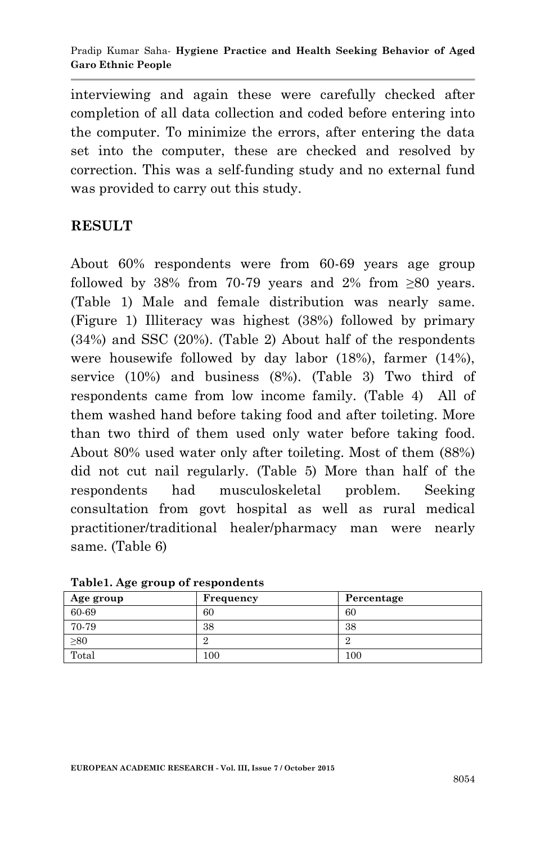interviewing and again these were carefully checked after completion of all data collection and coded before entering into the computer. To minimize the errors, after entering the data set into the computer, these are checked and resolved by correction. This was a self-funding study and no external fund was provided to carry out this study.

## **RESULT**

About 60% respondents were from 60-69 years age group followed by 38% from 70-79 years and 2% from  $\geq 80$  years. (Table 1) Male and female distribution was nearly same. (Figure 1) Illiteracy was highest (38%) followed by primary (34%) and SSC (20%). (Table 2) About half of the respondents were housewife followed by day labor (18%), farmer (14%), service (10%) and business (8%). (Table 3) Two third of respondents came from low income family. (Table 4) All of them washed hand before taking food and after toileting. More than two third of them used only water before taking food. About 80% used water only after toileting. Most of them (88%) did not cut nail regularly. (Table 5) More than half of the respondents had musculoskeletal problem. Seeking consultation from govt hospital as well as rural medical practitioner/traditional healer/pharmacy man were nearly same. (Table 6)

| Age group | Frequency | Percentage |
|-----------|-----------|------------|
| 60-69     | 60        | 60         |
| 70-79     | 38        | 38         |
| $\geq 80$ |           |            |
| Total     | $100\,$   | $100\,$    |

**Table1. Age group of respondents**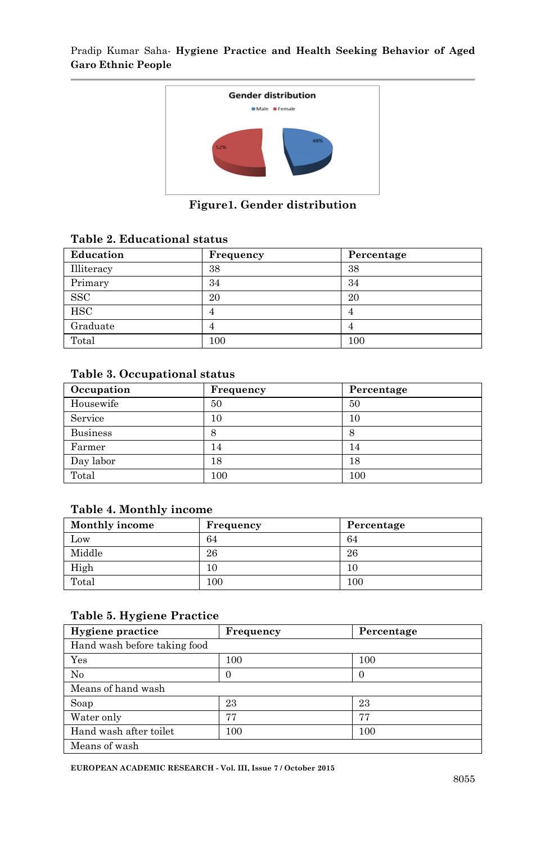

**Figure1. Gender distribution**

|  | Table 2. Educational status |  |
|--|-----------------------------|--|
|--|-----------------------------|--|

| Education    | Frequency | Percentage |
|--------------|-----------|------------|
| Illiteracy   | 38        | 38         |
| Primary      | 34        | 34         |
| $_{\rm SSC}$ | 20        | 20         |
| HSC          | 4         | 4          |
| Graduate     | 4         |            |
| Total        | 100       | 100        |

#### **Table 3. Occupational status**

| Occupation      | Frequency | Percentage |
|-----------------|-----------|------------|
| Housewife       | 50        | 50         |
| Service         | 10        | 10         |
| <b>Business</b> | 8         | 8          |
| Farmer          | 14        | 14         |
| Day labor       | 18        | 18         |
| Total           | $100\,$   | 100        |

#### **Table 4. Monthly income**

| <b>Monthly income</b> | Frequency | Percentage |
|-----------------------|-----------|------------|
| Low                   | 64        | 64         |
| Middle                | 26        | 26         |
| High                  | 10        | 10         |
| Total                 | $100\,$   | $100\,$    |

#### **Table 5. Hygiene Practice**

| Hygiene practice             | Frequency | Percentage |  |
|------------------------------|-----------|------------|--|
| Hand wash before taking food |           |            |  |
| Yes                          | 100       | 100        |  |
| No                           |           | $\theta$   |  |
| Means of hand wash           |           |            |  |
| Soap                         | 23        | 23         |  |
| Water only                   | 77        | 77         |  |
| Hand wash after toilet       | 100       | 100        |  |
| Means of wash                |           |            |  |

**EUROPEAN ACADEMIC RESEARCH - Vol. III, Issue 7 / October 2015**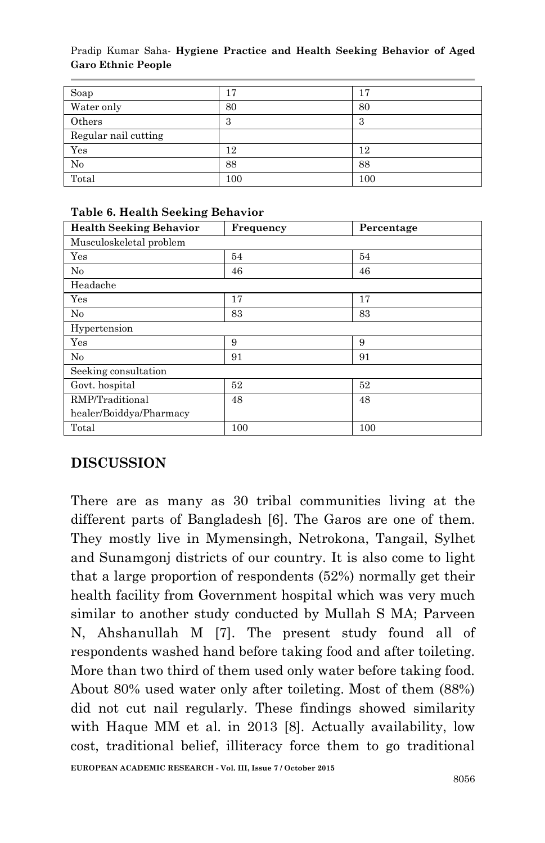#### Pradip Kumar Saha*-* **Hygiene Practice and Health Seeking Behavior of Aged Garo Ethnic People**

| Soap                 | 17  | 17  |
|----------------------|-----|-----|
| Water only           | 80  | 80  |
| Others               | 3   | 3   |
| Regular nail cutting |     |     |
| Yes                  | 12  | 12  |
| No                   | 88  | 88  |
| Total                | 100 | 100 |

| <b>Health Seeking Behavior</b> | Frequency | Percentage |
|--------------------------------|-----------|------------|
| Musculoskeletal problem        |           |            |
| Yes                            | 54        | 54         |
| No                             | 46        | 46         |
| Headache                       |           |            |
| Yes                            | 17        | 17         |
| No                             | 83        | 83         |
| Hypertension                   |           |            |
| Yes                            | 9         | 9          |
| No                             | 91        | 91         |
| Seeking consultation           |           |            |
| Govt. hospital                 | 52        | 52         |
| RMP/Traditional                | 48        | 48         |
| healer/Boiddya/Pharmacy        |           |            |
| Total                          | 100       | 100        |

### **Table 6. Health Seeking Behavior**

# **DISCUSSION**

There are as many as 30 tribal communities living at the different parts of Bangladesh [6]. The Garos are one of them. They mostly live in Mymensingh, Netrokona, Tangail, Sylhet and Sunamgonj districts of our country. It is also come to light that a large proportion of respondents (52%) normally get their health facility from Government hospital which was very much similar to another study conducted by Mullah S MA; Parveen N, Ahshanullah M [7]. The present study found all of respondents washed hand before taking food and after toileting. More than two third of them used only water before taking food. About 80% used water only after toileting. Most of them (88%) did not cut nail regularly. These findings showed similarity with Haque MM et al. in 2013 [8]. Actually availability, low cost, traditional belief, illiteracy force them to go traditional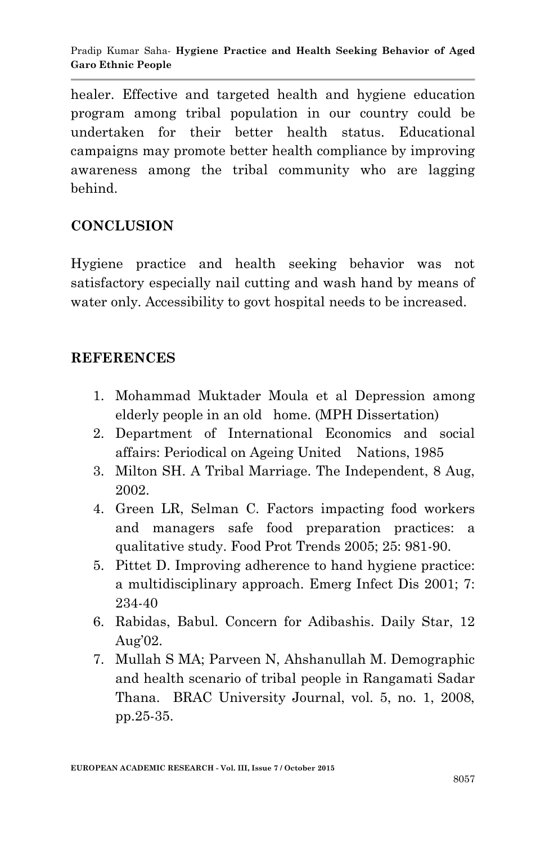healer. Effective and targeted health and hygiene education program among tribal population in our country could be undertaken for their better health status. Educational campaigns may promote better health compliance by improving awareness among the tribal community who are lagging behind.

# **CONCLUSION**

Hygiene practice and health seeking behavior was not satisfactory especially nail cutting and wash hand by means of water only. Accessibility to govt hospital needs to be increased.

## **REFERENCES**

- 1. Mohammad Muktader Moula et al Depression among elderly people in an old home. (MPH Dissertation)
- 2. Department of International Economics and social affairs: Periodical on Ageing United Nations, 1985
- 3. Milton SH. A Tribal Marriage. The Independent, 8 Aug, 2002.
- 4. Green LR, Selman C. Factors impacting food workers and managers safe food preparation practices: a qualitative study. Food Prot Trends 2005; 25: 981-90.
- 5. Pittet D. Improving adherence to hand hygiene practice: a multidisciplinary approach. Emerg Infect Dis 2001; 7: 234-40
- 6. Rabidas, Babul. Concern for Adibashis. Daily Star, 12 Aug'02.
- 7. Mullah S MA; Parveen N, Ahshanullah M. Demographic and health scenario of tribal people in Rangamati Sadar Thana. BRAC University Journal, vol. 5, no. 1, 2008, pp.25-35.